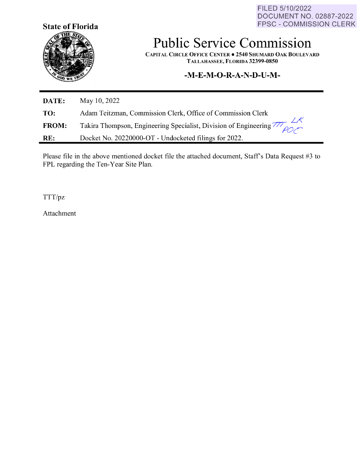FILED 5/10/2022 DOCUMENT NO. 02887-2022 FPSC - COMMISSION CLERK



## **Public Service Commission**

**CAPITAL CIRCLE OFFICE CENTER• 2540 SHUMARD OAK BOULEVARD TALLAHASSEE, FLORIDA 32399-0850** 

## **-M-E-M-O-R-A-N-D-U-M-**

| DATE:        | May 10, 2022                                                        |
|--------------|---------------------------------------------------------------------|
| TO:          | Adam Teitzman, Commission Clerk, Office of Commission Clerk         |
| <b>FROM:</b> | Takira Thompson, Engineering Specialist, Division of Engineering 77 |
| RE:          | Docket No. 20220000-OT - Undocketed filings for 2022.               |

Please file in the above mentioned docket file the attached document, Staff's Data Request #3 to FPL regarding the Ten-Year Site Plan.

TTT/pz

Attachment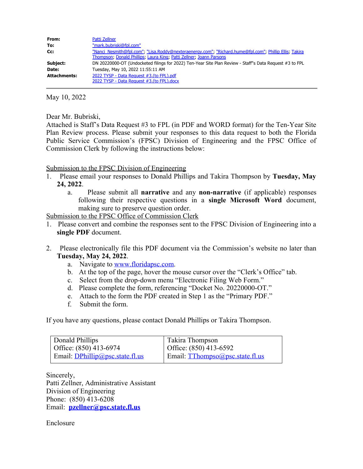| From:               | Patti Zellner                                                                                                                                                                 |  |  |
|---------------------|-------------------------------------------------------------------------------------------------------------------------------------------------------------------------------|--|--|
| To:                 | "mark.bubriski@fpl.com"                                                                                                                                                       |  |  |
| Cc:                 | "Nanci Nesmith@fpl.com"; "Lisa.Roddy@nexteraenergy.com"; "Richard.hume@fpl.com"; Phillip Ellis; Takira<br>Thompson, Donald Phillips, Laura King, Patti Zellner, Joann Parsons |  |  |
| Subject:            | DN 20220000-OT (Undocketed filings for 2022) Ten-Year Site Plan Review - Staff"s Data Request #3 to FPL                                                                       |  |  |
| Date:               | Tuesday, May 10, 2022 11:55:11 AM                                                                                                                                             |  |  |
| <b>Attachments:</b> | 2022 TYSP - Data Request #3.(to FPL).pdf                                                                                                                                      |  |  |
|                     | 2022 TYSP - Data Request #3.(to FPL).docx                                                                                                                                     |  |  |

May 10, 2022

Dear Mr. Bubriski,

Attached is Staff's Data Request #3 to FPL (in PDF and WORD format) for the Ten-Year Site Plan Review process. Please submit your responses to this data request to both the Florida Public Service Commission's (FPSC) Division of Engineering and the FPSC Office of Commission Clerk by following the instructions below:

## Submission to the FPSC Division of Engineering

- 1. Please email your responses to Donald Phillips and Takira Thompson by **Tuesday, May 24, 2022**.
	- a. Please submit all **narrative** and any **non-narrative** (if applicable) responses following their respective questions in a **single Microsoft Word** document, making sure to preserve question order.

Submission to the FPSC Office of Commission Clerk

- 1. Please convert and combine the responses sent to the FPSC Division of Engineering into a **single PDF** document.
- 2. Please electronically file this PDF document via the Commission's website no later than **Tuesday, May 24, 2022**.
	- a. Navigate to [www.floridapsc.com.](http://www.floridapsc.com/)
	- b. At the top of the page, hover the mouse cursor over the "Clerk's Office" tab.
	- c. Select from the drop-down menu "Electronic Filing Web Form."
	- d. Please complete the form, referencing "Docket No. 20220000-OT."
	- e. Attach to the form the PDF created in Step 1 as the "Primary PDF."
	- f. Submit the form.

If you have any questions, please contact Donald Phillips or Takira Thompson.

| Donald Phillips                 | Takira Thompson                 |
|---------------------------------|---------------------------------|
| Office: $(850)$ 413-6974        | Office: $(850)$ 413-6592        |
| Email: DPhillip@psc.state.fl.us | Email: TThompso@psc.state.fl.us |

Sincerely, Patti Zellner, Administrative Assistant Division of Engineering Phone: (850) 413-6208 Email: **[pzellner@psc.state.fl.us](mailto:pzellner@psc.state.fl.us)**

Enclosure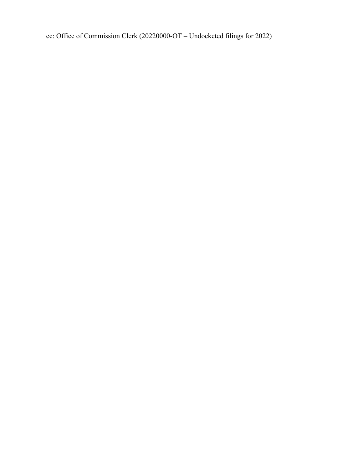cc: Office of Commission Clerk (20220000-OT – Undocketed filings for 2022)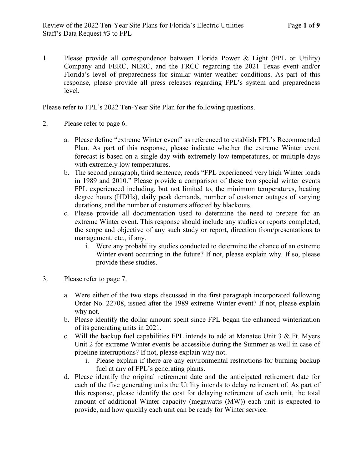1. Please provide all correspondence between Florida Power & Light (FPL or Utility) Company and FERC, NERC, and the FRCC regarding the 2021 Texas event and/or Florida's level of preparedness for similar winter weather conditions. As part of this response, please provide all press releases regarding FPL's system and preparedness level.

Please refer to FPL's 2022 Ten-Year Site Plan for the following questions.

- 2. Please refer to page 6.
	- a. Please define "extreme Winter event" as referenced to establish FPL's Recommended Plan. As part of this response, please indicate whether the extreme Winter event forecast is based on a single day with extremely low temperatures, or multiple days with extremely low temperatures.
	- b. The second paragraph, third sentence, reads "FPL experienced very high Winter loads in 1989 and 2010." Please provide a comparison of these two special winter events FPL experienced including, but not limited to, the minimum temperatures, heating degree hours (HDHs), daily peak demands, number of customer outages of varying durations, and the number of customers affected by blackouts.
	- c. Please provide all documentation used to determine the need to prepare for an extreme Winter event. This response should include any studies or reports completed, the scope and objective of any such study or report, direction from/presentations to management, etc., if any.
		- i. Were any probability studies conducted to determine the chance of an extreme Winter event occurring in the future? If not, please explain why. If so, please provide these studies.
- 3. Please refer to page 7.
	- a. Were either of the two steps discussed in the first paragraph incorporated following Order No. 22708, issued after the 1989 extreme Winter event? If not, please explain why not.
	- b. Please identify the dollar amount spent since FPL began the enhanced winterization of its generating units in 2021.
	- c. Will the backup fuel capabilities FPL intends to add at Manatee Unit  $3 \&$  Ft. Myers Unit 2 for extreme Winter events be accessible during the Summer as well in case of pipeline interruptions? If not, please explain why not.
		- i. Please explain if there are any environmental restrictions for burning backup fuel at any of FPL's generating plants.
	- d. Please identify the original retirement date and the anticipated retirement date for each of the five generating units the Utility intends to delay retirement of. As part of this response, please identify the cost for delaying retirement of each unit, the total amount of additional Winter capacity (megawatts (MW)) each unit is expected to provide, and how quickly each unit can be ready for Winter service.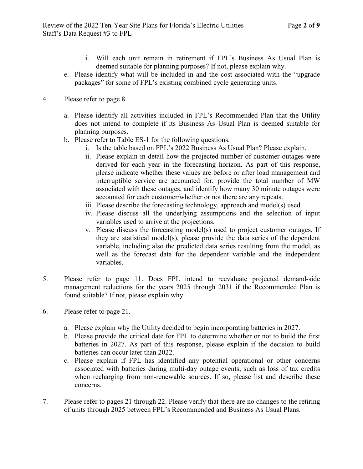- i. Will each unit remain in retirement if FPL's Business As Usual Plan is deemed suitable for planning purposes? If not, please explain why.
- e. Please identify what will be included in and the cost associated with the "upgrade packages" for some of FPL's existing combined cycle generating units.
- 4. Please refer to page 8.
	- a. Please identify all activities included in FPL's Recommended Plan that the Utility does not intend to complete if its Business As Usual Plan is deemed suitable for planning purposes.
	- b. Please refer to Table ES-1 for the following questions.
		- i. Is the table based on FPL's 2022 Business As Usual Plan? Please explain.
		- ii. Please explain in detail how the projected number of customer outages were derived for each year in the forecasting horizon. As part of this response, please indicate whether these values are before or after load management and interruptible service are accounted for, provide the total number of MW associated with these outages, and identify how many 30 minute outages were accounted for each customer/whether or not there are any repeats.
		- iii. Please describe the forecasting technology, approach and model(s) used.
		- iv. Please discuss all the underlying assumptions and the selection of input variables used to arrive at the projections.
		- v. Please discuss the forecasting model(s) used to project customer outages. If they are statistical model(s), please provide the data series of the dependent variable, including also the predicted data series resulting from the model, as well as the forecast data for the dependent variable and the independent variables.
- 5. Please refer to page 11. Does FPL intend to reevaluate projected demand-side management reductions for the years 2025 through 2031 if the Recommended Plan is found suitable? If not, please explain why.
- 6. Please refer to page 21.
	- a. Please explain why the Utility decided to begin incorporating batteries in 2027.
	- b. Please provide the critical date for FPL to determine whether or not to build the first batteries in 2027. As part of this response, please explain if the decision to build batteries can occur later than 2022.
	- c. Please explain if FPL has identified any potential operational or other concerns associated with batteries during multi-day outage events, such as loss of tax credits when recharging from non-renewable sources. If so, please list and describe these concerns.
- 7. Please refer to pages 21 through 22. Please verify that there are no changes to the retiring of units through 2025 between FPL's Recommended and Business As Usual Plans.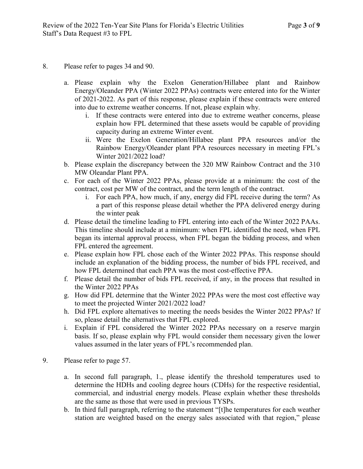- 8. Please refer to pages 34 and 90.
	- a. Please explain why the Exelon Generation/Hillabee plant and Rainbow Energy/Oleander PPA (Winter 2022 PPAs) contracts were entered into for the Winter of 2021-2022. As part of this response, please explain if these contracts were entered into due to extreme weather concerns. If not, please explain why.
		- i. If these contracts were entered into due to extreme weather concerns, please explain how FPL determined that these assets would be capable of providing capacity during an extreme Winter event.
		- ii. Were the Exelon Generation/Hillabee plant PPA resources and/or the Rainbow Energy/Oleander plant PPA resources necessary in meeting FPL's Winter 2021/2022 load?
	- b. Please explain the discrepancy between the 320 MW Rainbow Contract and the 310 MW Oleandar Plant PPA.
	- c. For each of the Winter 2022 PPAs, please provide at a minimum: the cost of the contract, cost per MW of the contract, and the term length of the contract.
		- i. For each PPA, how much, if any, energy did FPL receive during the term? As a part of this response please detail whether the PPA delivered energy during the winter peak
	- d. Please detail the timeline leading to FPL entering into each of the Winter 2022 PAAs. This timeline should include at a minimum: when FPL identified the need, when FPL began its internal approval process, when FPL began the bidding process, and when FPL entered the agreement.
	- e. Please explain how FPL chose each of the Winter 2022 PPAs. This response should include an explanation of the bidding process, the number of bids FPL received, and how FPL determined that each PPA was the most cost-effective PPA.
	- f. Please detail the number of bids FPL received, if any, in the process that resulted in the Winter 2022 PPAs
	- g. How did FPL determine that the Winter 2022 PPAs were the most cost effective way to meet the projected Winter 2021/2022 load?
	- h. Did FPL explore alternatives to meeting the needs besides the Winter 2022 PPAs? If so, please detail the alternatives that FPL explored.
	- i. Explain if FPL considered the Winter 2022 PPAs necessary on a reserve margin basis. If so, please explain why FPL would consider them necessary given the lower values assumed in the later years of FPL's recommended plan.
- 9. Please refer to page 57.
	- a. In second full paragraph, 1., please identify the threshold temperatures used to determine the HDHs and cooling degree hours (CDHs) for the respective residential, commercial, and industrial energy models. Please explain whether these thresholds are the same as those that were used in previous TYSPs.
	- b. In third full paragraph, referring to the statement "[t]he temperatures for each weather station are weighted based on the energy sales associated with that region," please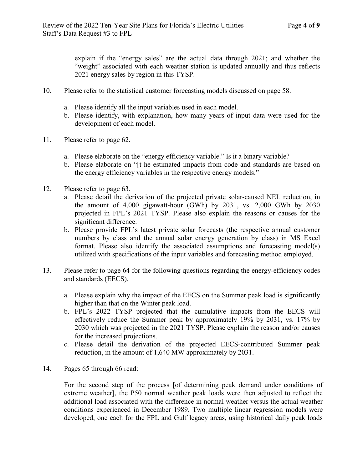explain if the "energy sales" are the actual data through 2021; and whether the "weight" associated with each weather station is updated annually and thus reflects 2021 energy sales by region in this TYSP.

- 10. Please refer to the statistical customer forecasting models discussed on page 58.
	- a. Please identify all the input variables used in each model.
	- b. Please identify, with explanation, how many years of input data were used for the development of each model.
- 11. Please refer to page 62.
	- a. Please elaborate on the "energy efficiency variable." Is it a binary variable?
	- b. Please elaborate on "[t]he estimated impacts from code and standards are based on the energy efficiency variables in the respective energy models."
- 12. Please refer to page 63.
	- a. Please detail the derivation of the projected private solar-caused NEL reduction, in the amount of 4,000 gigawatt-hour (GWh) by 2031, vs. 2,000 GWh by 2030 projected in FPL's 2021 TYSP. Please also explain the reasons or causes for the significant difference.
	- b. Please provide FPL's latest private solar forecasts (the respective annual customer numbers by class and the annual solar energy generation by class) in MS Excel format. Please also identify the associated assumptions and forecasting model(s) utilized with specifications of the input variables and forecasting method employed.
- 13. Please refer to page 64 for the following questions regarding the energy-efficiency codes and standards (EECS).
	- a. Please explain why the impact of the EECS on the Summer peak load is significantly higher than that on the Winter peak load.
	- b. FPL's 2022 TYSP projected that the cumulative impacts from the EECS will effectively reduce the Summer peak by approximately 19% by 2031, vs. 17% by 2030 which was projected in the 2021 TYSP. Please explain the reason and/or causes for the increased projections.
	- c. Please detail the derivation of the projected EECS-contributed Summer peak reduction, in the amount of 1,640 MW approximately by 2031.
- 14. Pages 65 through 66 read:

For the second step of the process [of determining peak demand under conditions of extreme weather], the P50 normal weather peak loads were then adjusted to reflect the additional load associated with the difference in normal weather versus the actual weather conditions experienced in December 1989. Two multiple linear regression models were developed, one each for the FPL and Gulf legacy areas, using historical daily peak loads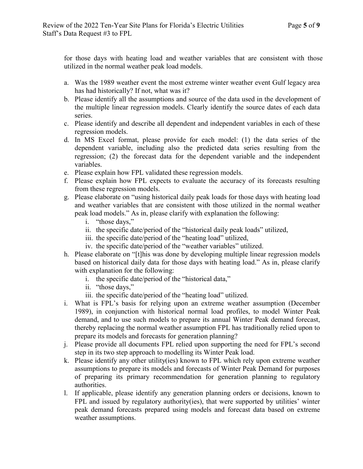for those days with heating load and weather variables that are consistent with those utilized in the normal weather peak load models.

- a. Was the 1989 weather event the most extreme winter weather event Gulf legacy area has had historically? If not, what was it?
- b. Please identify all the assumptions and source of the data used in the development of the multiple linear regression models. Clearly identify the source dates of each data series.
- c. Please identify and describe all dependent and independent variables in each of these regression models.
- d. In MS Excel format, please provide for each model: (1) the data series of the dependent variable, including also the predicted data series resulting from the regression; (2) the forecast data for the dependent variable and the independent variables.
- e. Please explain how FPL validated these regression models.
- f. Please explain how FPL expects to evaluate the accuracy of its forecasts resulting from these regression models.
- g. Please elaborate on "using historical daily peak loads for those days with heating load and weather variables that are consistent with those utilized in the normal weather peak load models." As in, please clarify with explanation the following:
	- i. "those days,"
	- ii. the specific date/period of the "historical daily peak loads" utilized,
	- iii. the specific date/period of the "heating load" utilized,
	- iv. the specific date/period of the "weather variables" utilized.
- h. Please elaborate on "[t]his was done by developing multiple linear regression models based on historical daily data for those days with heating load." As in, please clarify with explanation for the following:
	- i. the specific date/period of the "historical data,"
	- ii. "those days,"
	- iii. the specific date/period of the "heating load" utilized.
- i. What is FPL's basis for relying upon an extreme weather assumption (December 1989), in conjunction with historical normal load profiles, to model Winter Peak demand, and to use such models to prepare its annual Winter Peak demand forecast, thereby replacing the normal weather assumption FPL has traditionally relied upon to prepare its models and forecasts for generation planning?
- j. Please provide all documents FPL relied upon supporting the need for FPL's second step in its two step approach to modelling its Winter Peak load.
- k. Please identify any other utility(ies) known to FPL which rely upon extreme weather assumptions to prepare its models and forecasts of Winter Peak Demand for purposes of preparing its primary recommendation for generation planning to regulatory authorities.
- l. If applicable, please identify any generation planning orders or decisions, known to FPL and issued by regulatory authority (ies), that were supported by utilities' winter peak demand forecasts prepared using models and forecast data based on extreme weather assumptions.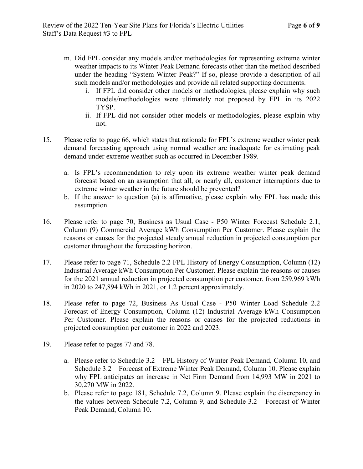- m. Did FPL consider any models and/or methodologies for representing extreme winter weather impacts to its Winter Peak Demand forecasts other than the method described under the heading "System Winter Peak?" If so, please provide a description of all such models and/or methodologies and provide all related supporting documents.
	- i. If FPL did consider other models or methodologies, please explain why such models/methodologies were ultimately not proposed by FPL in its 2022 TYSP.
	- ii. If FPL did not consider other models or methodologies, please explain why not.
- 15. Please refer to page 66, which states that rationale for FPL's extreme weather winter peak demand forecasting approach using normal weather are inadequate for estimating peak demand under extreme weather such as occurred in December 1989.
	- a. Is FPL's recommendation to rely upon its extreme weather winter peak demand forecast based on an assumption that all, or nearly all, customer interruptions due to extreme winter weather in the future should be prevented?
	- b. If the answer to question (a) is affirmative, please explain why FPL has made this assumption.
- 16. Please refer to page 70, Business as Usual Case P50 Winter Forecast Schedule 2.1, Column (9) Commercial Average kWh Consumption Per Customer. Please explain the reasons or causes for the projected steady annual reduction in projected consumption per customer throughout the forecasting horizon.
- 17. Please refer to page 71, Schedule 2.2 FPL History of Energy Consumption, Column (12) Industrial Average kWh Consumption Per Customer. Please explain the reasons or causes for the 2021 annual reduction in projected consumption per customer, from 259,969 kWh in 2020 to 247,894 kWh in 2021, or 1.2 percent approximately.
- 18. Please refer to page 72, Business As Usual Case P50 Winter Load Schedule 2.2 Forecast of Energy Consumption, Column (12) Industrial Average kWh Consumption Per Customer. Please explain the reasons or causes for the projected reductions in projected consumption per customer in 2022 and 2023.
- 19. Please refer to pages 77 and 78.
	- a. Please refer to Schedule 3.2 FPL History of Winter Peak Demand, Column 10, and Schedule 3.2 – Forecast of Extreme Winter Peak Demand, Column 10. Please explain why FPL anticipates an increase in Net Firm Demand from 14,993 MW in 2021 to 30,270 MW in 2022.
	- b. Please refer to page 181, Schedule 7.2, Column 9. Please explain the discrepancy in the values between Schedule 7.2, Column 9, and Schedule 3.2 – Forecast of Winter Peak Demand, Column 10.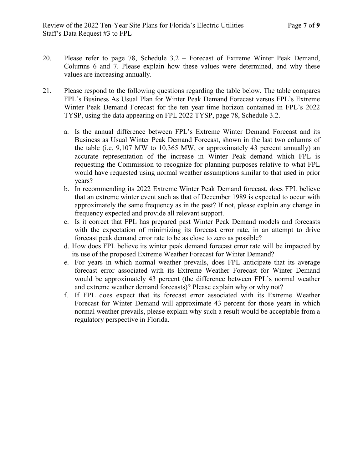- 20. Please refer to page 78, Schedule 3.2 Forecast of Extreme Winter Peak Demand, Columns 6 and 7. Please explain how these values were determined, and why these values are increasing annually.
- 21. Please respond to the following questions regarding the table below. The table compares FPL's Business As Usual Plan for Winter Peak Demand Forecast versus FPL's Extreme Winter Peak Demand Forecast for the ten year time horizon contained in FPL's 2022 TYSP, using the data appearing on FPL 2022 TYSP, page 78, Schedule 3.2.
	- a. Is the annual difference between FPL's Extreme Winter Demand Forecast and its Business as Usual Winter Peak Demand Forecast, shown in the last two columns of the table (i.e. 9,107 MW to 10,365 MW, or approximately 43 percent annually) an accurate representation of the increase in Winter Peak demand which FPL is requesting the Commission to recognize for planning purposes relative to what FPL would have requested using normal weather assumptions similar to that used in prior years?
	- b. In recommending its 2022 Extreme Winter Peak Demand forecast, does FPL believe that an extreme winter event such as that of December 1989 is expected to occur with approximately the same frequency as in the past? If not, please explain any change in frequency expected and provide all relevant support.
	- c. Is it correct that FPL has prepared past Winter Peak Demand models and forecasts with the expectation of minimizing its forecast error rate, in an attempt to drive forecast peak demand error rate to be as close to zero as possible?
	- d. How does FPL believe its winter peak demand forecast error rate will be impacted by its use of the proposed Extreme Weather Forecast for Winter Demand?
	- e. For years in which normal weather prevails, does FPL anticipate that its average forecast error associated with its Extreme Weather Forecast for Winter Demand would be approximately 43 percent (the difference between FPL's normal weather and extreme weather demand forecasts)? Please explain why or why not?
	- f. If FPL does expect that its forecast error associated with its Extreme Weather Forecast for Winter Demand will approximate 43 percent for those years in which normal weather prevails, please explain why such a result would be acceptable from a regulatory perspective in Florida.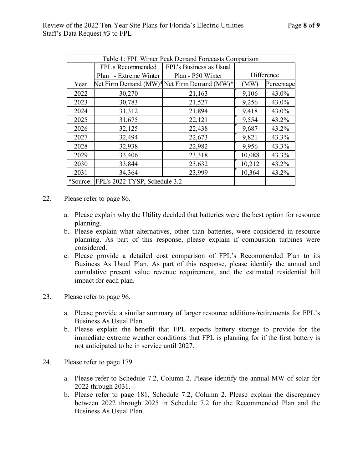| Table 1: FPL Winter Peak Demand Forecasts Comparison |                                        |                                             |            |            |  |  |  |
|------------------------------------------------------|----------------------------------------|---------------------------------------------|------------|------------|--|--|--|
|                                                      | FPL's Recommended                      | FPL's Business as Usual                     |            |            |  |  |  |
|                                                      | - Extreme Winter<br>Plan               | Plan - P50 Winter                           | Difference |            |  |  |  |
| Year                                                 |                                        | Net Firm Demand (MW)* Net Firm Demand (MW)* | (MW)       | Percentage |  |  |  |
| 2022                                                 | 30,270                                 | 21,163                                      | 9,106      | 43.0%      |  |  |  |
| 2023                                                 | 30,783                                 | 21,527                                      | 9,256      | 43.0%      |  |  |  |
| 2024                                                 | 31,312                                 | 21,894                                      | 9,418      | 43.0%      |  |  |  |
| 2025                                                 | 31,675                                 | 22,121                                      | 9,554      | 43.2%      |  |  |  |
| 2026                                                 | 32,125                                 | 22,438                                      | 9,687      | 43.2%      |  |  |  |
| 2027                                                 | 32,494                                 | 22,673                                      | 9,821      | 43.3%      |  |  |  |
| 2028                                                 | 32,938                                 | 22,982                                      | 9,956      | 43.3%      |  |  |  |
| 2029                                                 | 33,406                                 | 23,318                                      | 10,088     | 43.3%      |  |  |  |
| 2030                                                 | 33,844                                 | 23,632                                      | 10,212     | 43.2%      |  |  |  |
| 2031                                                 | 34,364                                 | 23,999                                      | 10,364     | 43.2%      |  |  |  |
|                                                      | *Source: FPL's 2022 TYSP, Schedule 3.2 |                                             |            |            |  |  |  |

- 22. Please refer to page 86.
	- a. Please explain why the Utility decided that batteries were the best option for resource planning.
	- b. Please explain what alternatives, other than batteries, were considered in resource planning. As part of this response, please explain if combustion turbines were considered.
	- c. Please provide a detailed cost comparison of FPL's Recommended Plan to its Business As Usual Plan. As part of this response, please identify the annual and cumulative present value revenue requirement, and the estimated residential bill impact for each plan.
- 23. Please refer to page 96.
	- a. Please provide a similar summary of larger resource additions/retirements for FPL's Business As Usual Plan.
	- b. Please explain the benefit that FPL expects battery storage to provide for the immediate extreme weather conditions that FPL is planning for if the first battery is not anticipated to be in service until 2027.
- 24. Please refer to page 179.
	- a. Please refer to Schedule 7.2, Column 2. Please identify the annual MW of solar for 2022 through 2031.
	- b. Please refer to page 181, Schedule 7.2, Column 2. Please explain the discrepancy between 2022 through 2025 in Schedule 7.2 for the Recommended Plan and the Business As Usual Plan.